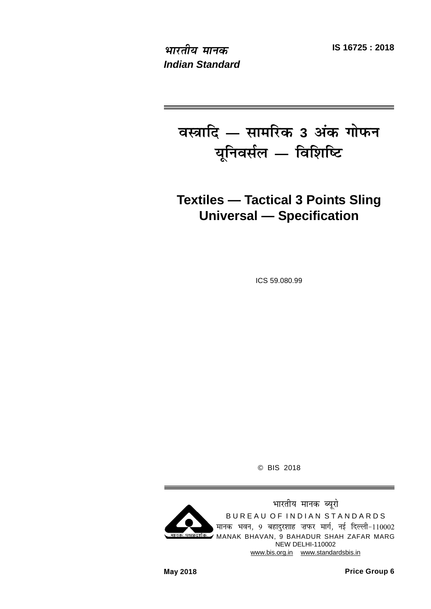**IS 16725 : 2018 Hkkjrh; ekud** *Indian Standard*

 $\overline{a}$  **atalled**  $\overline{a}$  **2 dia**  $\overline{a}$  **dia**  $\overline{a}$  **dia**  $\overline{a}$  **dia x**  $\overline{u}$ मिवर्सल — विशिष्टि

# **Textiles — Tactical 3 Points Sling Universal — Specification**

ICS 59.080.99

© BIS 2018

भारतीय मानक ब्यूरो BUREAU OF INDIAN STANDARDS मानक भवन, 9 बहादुरशाह ज़फर मार्ग, नई दिल्ली-110002 मानकः पथप्रदर्शकः MANAK BHAVAN, 9 BAHADUR SHAH ZAFAR MARG NEW DELHI-110002 www.bis.org.in www.standardsbis.in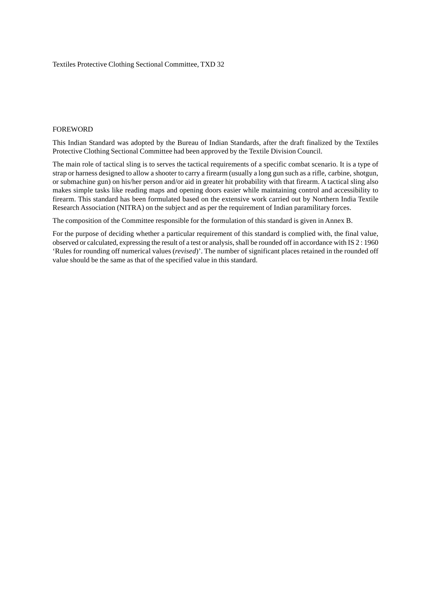#### FOREWORD

This Indian Standard was adopted by the Bureau of Indian Standards, after the draft finalized by the Textiles Protective Clothing Sectional Committee had been approved by the Textile Division Council.

The main role of tactical sling is to serves the tactical requirements of a specific combat scenario. It is a type of strap or harness designed to allow a shooter to carry a firearm (usually a long gun such as a rifle, carbine, shotgun, or submachine gun) on his/her person and/or aid in greater hit probability with that firearm. A tactical sling also makes simple tasks like reading maps and opening doors easier while maintaining control and accessibility to firearm. This standard has been formulated based on the extensive work carried out by Northern India Textile Research Association (NITRA) on the subject and as per the requirement of Indian paramilitary forces.

The composition of the Committee responsible for the formulation of this standard is given in Annex B.

For the purpose of deciding whether a particular requirement of this standard is complied with, the final value, observed or calculated, expressing the result of a test or analysis, shall be rounded off in accordance with IS 2 : 1960 'Rules for rounding off numerical values (*revised*)'. The number of significant places retained in the rounded off value should be the same as that of the specified value in this standard.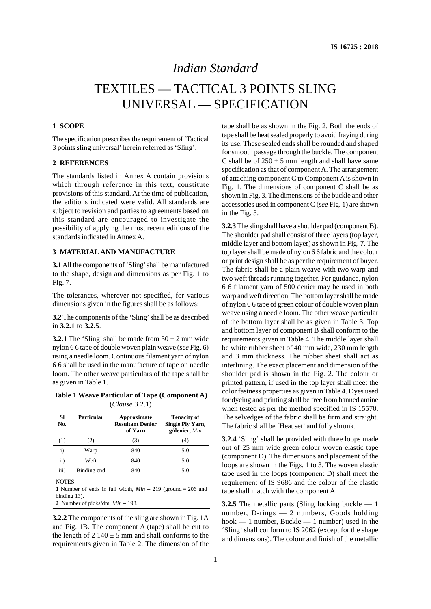# *Indian Standard*

# TEXTILES — TACTICAL 3 POINTS SLING UNIVERSAL — SPECIFICATION

#### **1 SCOPE**

The specification prescribes the requirement of 'Tactical 3 points sling universal' herein referred as 'Sling'.

#### **2 REFERENCES**

The standards listed in Annex A contain provisions which through reference in this text, constitute provisions of this standard. At the time of publication, the editions indicated were valid. All standards are subject to revision and parties to agreements based on this standard are encouraged to investigate the possibility of applying the most recent editions of the standards indicated in Annex A.

#### **3 MATERIAL AND MANUFACTURE**

**3.1** All the components of 'Sling' shall be manufactured to the shape, design and dimensions as per Fig. 1 to Fig. 7.

The tolerances, wherever not specified, for various dimensions given in the figures shall be as follows:

**3.2** The components of the 'Sling' shall be as described in **3.2.1** to **3.2.5**.

**3.2.1** The 'Sling' shall be made from  $30 \pm 2$  mm wide nylon 6 6 tape of double woven plain weave (*see* Fig. 6) using a needle loom. Continuous filament yarn of nylon 6 6 shall be used in the manufacture of tape on needle loom. The other weave particulars of the tape shall be as given in Table 1.

**Table 1 Weave Particular of Tape (Component A)** (*Clause* 3.2.1)

| Sl<br>No.    | Particular   | Approximate<br><b>Resultant Denier</b><br>of Yarn             | <b>Tenacity of</b><br>Single Ply Yarn,<br>g/denier, Min |  |  |  |  |  |
|--------------|--------------|---------------------------------------------------------------|---------------------------------------------------------|--|--|--|--|--|
| (1)          | (2)          | (3)                                                           | (4)                                                     |  |  |  |  |  |
| $\mathbf{i}$ | Warp         | 840                                                           | 5.0                                                     |  |  |  |  |  |
| ii)          | Weft         | 840                                                           | 5.0                                                     |  |  |  |  |  |
| iii)         | Binding end  | 840                                                           | 5.0                                                     |  |  |  |  |  |
| <b>NOTES</b> |              |                                                               |                                                         |  |  |  |  |  |
|              |              | 1 Number of ends in full width, $Min - 219$ (ground = 206 and |                                                         |  |  |  |  |  |
|              | binding 13). |                                                               |                                                         |  |  |  |  |  |

**2** Number of picks/dm, *Min* **–** 198.

**3.2.2** The components of the sling are shown in Fig. 1A and Fig. 1B. The component A (tape) shall be cut to the length of  $2 \frac{140 \pm 5 \text{ mm}}{2}$  and shall conforms to the requirements given in Table 2. The dimension of the

tape shall be as shown in the Fig. 2. Both the ends of tape shall be heat sealed properly to avoid fraying during its use. These sealed ends shall be rounded and shaped for smooth passage through the buckle. The component C shall be of  $250 \pm 5$  mm length and shall have same specification as that of component A. The arrangement of attaching component C to Component A is shown in Fig. 1. The dimensions of component C shall be as shown in Fig. 3. The dimensions of the buckle and other accessories used in component C (*see* Fig. 1) are shown in the Fig. 3.

**3.2.3** The sling shall have a shoulder pad (component B). The shoulder pad shall consist of three layers (top layer, middle layer and bottom layer) as shown in Fig. 7. The top layer shall be made of nylon 6 6 fabric and the colour or print design shall be as per the requirement of buyer. The fabric shall be a plain weave with two warp and two weft threads running together. For guidance, nylon 6 6 filament yarn of 500 denier may be used in both warp and weft direction. The bottom layer shall be made of nylon 6 6 tape of green colour of double woven plain weave using a needle loom. The other weave particular of the bottom layer shall be as given in Table 3. Top and bottom layer of component B shall conform to the requirements given in Table 4. The middle layer shall be white rubber sheet of 40 mm wide, 230 mm length and 3 mm thickness. The rubber sheet shall act as interlining. The exact placement and dimension of the shoulder pad is shown in the Fig. 2. The colour or printed pattern, if used in the top layer shall meet the color fastness properties as given in Table 4. Dyes used for dyeing and printing shall be free from banned amine when tested as per the method specified in IS 15570. The selvedges of the fabric shall be firm and straight. The fabric shall be 'Heat set' and fully shrunk.

**3.2.4** 'Sling' shall be provided with three loops made out of 25 mm wide green colour woven elastic tape (component D). The dimensions and placement of the loops are shown in the Figs. 1 to 3. The woven elastic tape used in the loops (component D) shall meet the requirement of IS 9686 and the colour of the elastic tape shall match with the component A.

**3.2.5** The metallic parts (Sling locking buckle — 1) number, D-rings — 2 numbers, Goods holding hook — 1 number, Buckle — 1 number) used in the 'Sling' shall conform to IS 2062 (except for the shape and dimensions). The colour and finish of the metallic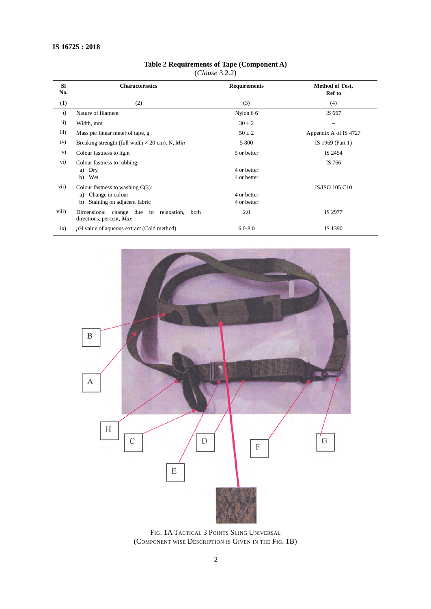|                  | (Clause $3.2.2$ )                                                         |                     |                                         |  |  |  |
|------------------|---------------------------------------------------------------------------|---------------------|-----------------------------------------|--|--|--|
| <b>SI</b><br>No. | <b>Characteristics</b>                                                    | <b>Requirements</b> | <b>Method of Test,</b><br><b>Ref</b> to |  |  |  |
| (1)              | (2)                                                                       | (3)                 | (4)                                     |  |  |  |
| $\mathbf{i}$     | Nature of filament                                                        | Nylon 66            | IS 667                                  |  |  |  |
| $\mathbf{ii}$    | Width, mm                                                                 | $30 \pm 2$          |                                         |  |  |  |
| iii)             | Mass per linear meter of tape, g                                          | $50 \pm 2$          | Appendix A of IS 4727                   |  |  |  |
| iv)              | Breaking strength (full width $\times$ 20 cm), N, Min                     | 5 800               | IS 1969 (Part 1)                        |  |  |  |
| V)               | Colour fastness to light                                                  | 5 or better         | IS 2454                                 |  |  |  |
| vi)              | Colour fastness to rubbing:                                               |                     | IS 766                                  |  |  |  |
|                  | Dry<br>a)                                                                 | 4 or better         |                                         |  |  |  |
|                  | b) Wet                                                                    | 4 or better         |                                         |  |  |  |
| vii)             | Colour fastness to washing $C(3)$ :                                       |                     | <b>IS/ISO 105 C10</b>                   |  |  |  |
|                  | a) Change in colour                                                       | 4 or better         |                                         |  |  |  |
|                  | Staining on adjacent fabric<br>b)                                         | 4 or better         |                                         |  |  |  |
| viii)            | Dimensional change due to relaxation,<br>both<br>directions, percent, Max | 2.0                 | IS 2977                                 |  |  |  |
| ix)              | pH value of aqueous extract (Cold method)                                 | $6.0 - 8.0$         | IS 1390                                 |  |  |  |

#### **Table 2 Requirements of Tape (Component A)** (*Clause* 3.2.2)



FIG. 1A TACTICAL 3 POINTS SLING UNIVERSAL (COMPONENT WISE DESCRIPTION IS GIVEN IN THE FIG. 1B)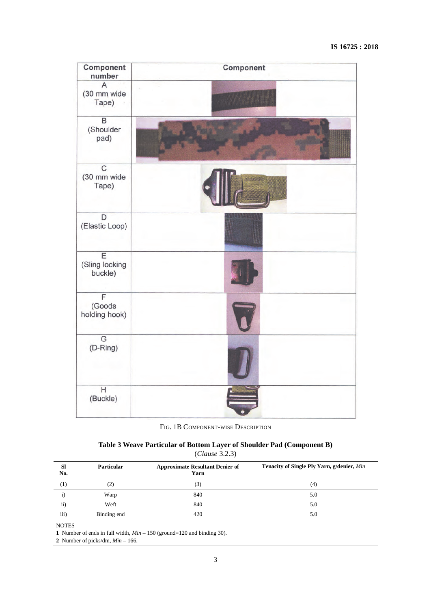| Component<br>number                         | Component |
|---------------------------------------------|-----------|
| A<br>(30 mm wide<br>Tape)                   |           |
| $\overline{B}$<br>(Shoulder<br>pad)         |           |
| $\overline{C}$<br>(30 mm wide<br>Tape)      |           |
| $\overline{D}$<br>(Elastic Loop)            |           |
| $\overline{E}$<br>(Sling locking<br>buckle) |           |
| F<br>(Goods<br>holding hook)                |           |
| $\mathbb{G}% _{\mathbb{Z}}$<br>(D-Ring)     |           |
| H<br>(Buckle)                               |           |

FIG. 1B COMPONENT-WISE DESCRIPTION

| Table 3 Weave Particular of Bottom Layer of Shoulder Pad (Component B) |
|------------------------------------------------------------------------|
| (Clause 3.2.3)                                                         |

| <b>SI</b><br>No. | <b>Particular</b> | <b>Approximate Resultant Denier of</b><br>Yarn | Tenacity of Single Ply Yarn, g/denier, Min |
|------------------|-------------------|------------------------------------------------|--------------------------------------------|
| $^{(1)}$         | (2)               | (3)                                            | (4)                                        |
| i)               | Warp              | 840                                            | 5.0                                        |
| $\mathbf{ii}$    | Weft              | 840                                            | 5.0                                        |
| iii)             | Binding end       | 420                                            | 5.0                                        |
| $\cdots$         |                   |                                                |                                            |

NOTES

**1** Number of ends in full width, *Min* **–** 150 (ground=120 and binding 30).

**2** Number of picks/dm, *Min* **–** 166.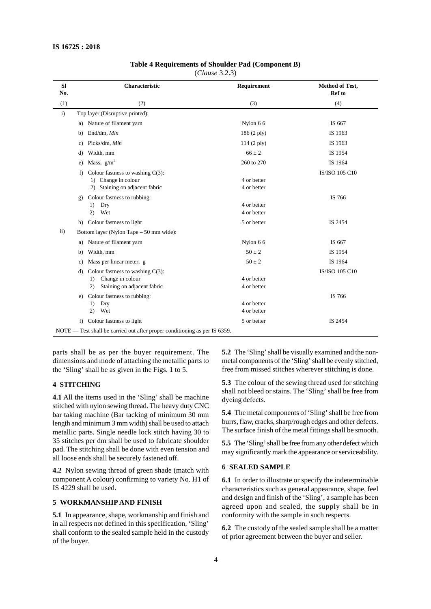| Table 4 Requirements of Shoulder Pad (Component B) |  |  |
|----------------------------------------------------|--|--|
|----------------------------------------------------|--|--|

(*Clause* 3.2.3)

| <b>Sl</b><br>No. | Characteristic                                                                                           | Requirement                | Method of Test,<br><b>Ref</b> to |
|------------------|----------------------------------------------------------------------------------------------------------|----------------------------|----------------------------------|
| (1)              | (2)                                                                                                      | (3)                        | (4)                              |
| $\mathbf{i}$     | Top layer (Disruptive printed):                                                                          |                            |                                  |
|                  | Nature of filament yarn<br>a)                                                                            | Nylon 66                   | IS 667                           |
|                  | End/dm, Min<br>b)                                                                                        | 186 (2 ply)                | IS 1963                          |
|                  | Picks/dm, Min<br>c)                                                                                      | $114(2 \text{ ply})$       | IS 1963                          |
|                  | Width, mm<br>d)                                                                                          | $66 \pm 2$                 | IS 1954                          |
|                  | Mass, $g/m^2$<br>$\epsilon$ )                                                                            | 260 to 270                 | IS 1964                          |
|                  | Colour fastness to washing $C(3)$ :<br>f)<br>1) Change in colour<br>2) Staining on adjacent fabric       | 4 or better<br>4 or better | IS/ISO 105 C10                   |
|                  | Colour fastness to rubbing:<br>g)<br>Dry<br>1)<br>Wet<br>(2)                                             | 4 or better<br>4 or better | IS 766                           |
|                  | Colour fastness to light<br>h)                                                                           | 5 or better                | IS 2454                          |
| $\mathbf{ii}$    | Bottom layer (Nylon Tape – 50 mm wide):                                                                  |                            |                                  |
|                  | Nature of filament yarn<br>a)                                                                            | Nylon 66                   | IS 667                           |
|                  | Width, mm<br>b)                                                                                          | $50 \pm 2$                 | IS 1954                          |
|                  | Mass per linear meter, g<br>c)                                                                           | $50 \pm 2$                 | IS 1964                          |
|                  | Colour fastness to washing $C(3)$ :<br>d)<br>Change in colour<br>1)<br>Staining on adjacent fabric<br>2) | 4 or better<br>4 or better | IS/ISO 105 C10                   |
|                  | Colour fastness to rubbing:<br>e)<br>Dry<br>1)<br>Wet<br>(2)                                             | 4 or better<br>4 or better | IS 766                           |
|                  | Colour fastness to light<br>f)                                                                           | 5 or better                | IS 2454                          |
|                  | NOTE — Test shall be carried out after proper conditioning as per IS 6359.                               |                            |                                  |

parts shall be as per the buyer requirement. The dimensions and mode of attaching the metallic parts to the 'Sling' shall be as given in the Figs. 1 to 5.

#### **4 STITCHING**

**4.1** All the items used in the 'Sling' shall be machine stitched with nylon sewing thread. The heavy duty CNC bar taking machine (Bar tacking of minimum 30 mm length and minimum 3 mm width) shall be used to attach metallic parts. Single needle lock stitch having 30 to 35 stitches per dm shall be used to fabricate shoulder pad. The stitching shall be done with even tension and all loose ends shall be securely fastened off.

**4.2** Nylon sewing thread of green shade (match with component A colour) confirming to variety No. H1 of IS 4229 shall be used.

#### **5 WORKMANSHIP AND FINISH**

**5.1** In appearance, shape, workmanship and finish and in all respects not defined in this specification, 'Sling' shall conform to the sealed sample held in the custody of the buyer.

**5.2** The 'Sling' shall be visually examined and the nonmetal components of the 'Sling'shall be evenly stitched, free from missed stitches wherever stitching is done.

**5.3** The colour of the sewing thread used for stitching shall not bleed or stains. The 'Sling' shall be free from dyeing defects.

**5.4** The metal components of 'Sling' shall be free from burrs, flaw, cracks, sharp/rough edges and other defects. The surface finish of the metal fittings shall be smooth.

**5.5** The 'Sling' shall be free from any other defect which may significantly mark the appearance or serviceability.

#### **6 SEALED SAMPLE**

**6.1** In order to illustrate or specify the indeterminable characteristics such as general appearance, shape, feel and design and finish of the 'Sling', a sample has been agreed upon and sealed, the supply shall be in conformity with the sample in such respects.

**6.2** The custody of the sealed sample shall be a matter of prior agreement between the buyer and seller.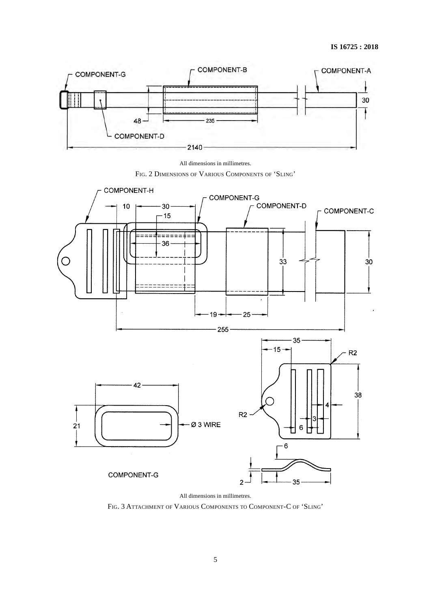



FIG. 2 DIMENSIONS OF VARIOUS COMPONENTS OF 'SLING'



FIG. 3 ATTACHMENT OF VARIOUS COMPONENTS TO COMPONENT-C OF 'SLING'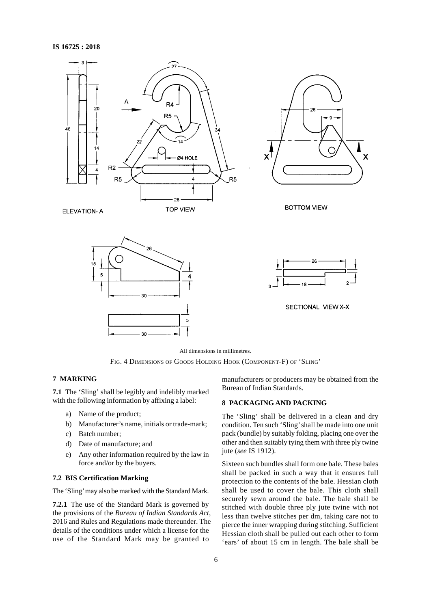

All dimensions in millimetres.

FIG. 4 DIMENSIONS OF GOODS HOLDING HOOK (COMPONENT-F) OF 'SLING'

#### **7 MARKING**

**7.1** The 'Sling' shall be legibly and indelibly marked with the following information by affixing a label:

- a) Name of the product;
- b) Manufacturer's name, initials or trade-mark;
- c) Batch number;
- d) Date of manufacture; and
- e) Any other information required by the law in force and/or by the buyers.

#### **7.2 BIS Certification Marking**

The 'Sling' may also be marked with the Standard Mark.

**7.2.1** The use of the Standard Mark is governed by the provisions of the *Bureau of Indian Standards Act*, 2016 and Rules and Regulations made thereunder. The details of the conditions under which a license for the use of the Standard Mark may be granted to

manufacturers or producers may be obtained from the Bureau of Indian Standards.

#### **8 PACKAGING AND PACKING**

The 'Sling' shall be delivered in a clean and dry condition. Ten such 'Sling' shall be made into one unit pack (bundle) by suitably folding, placing one over the other and then suitably tying them with three ply twine jute (*see* IS 1912).

Sixteen such bundles shall form one bale. These bales shall be packed in such a way that it ensures full protection to the contents of the bale. Hessian cloth shall be used to cover the bale. This cloth shall securely sewn around the bale. The bale shall be stitched with double three ply jute twine with not less than twelve stitches per dm, taking care not to pierce the inner wrapping during stitching. Sufficient Hessian cloth shall be pulled out each other to form 'ears' of about 15 cm in length. The bale shall be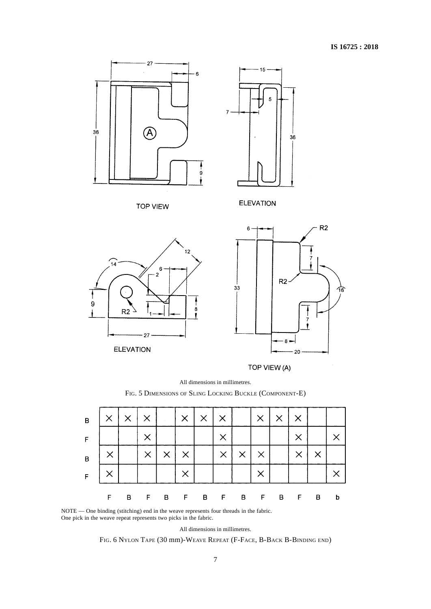

**ELEVATION** 



20

 $36$ 

 $R2$ 

′ বি

All dimensions in millimetres.



| $\overline{\mathsf{B}}$ | $\times$ | ×              |          |          | $\times$ | $\times$ | $\times$ |                | $\times$     | $\times$       | $\times$ |          |   |
|-------------------------|----------|----------------|----------|----------|----------|----------|----------|----------------|--------------|----------------|----------|----------|---|
| F.                      |          |                |          |          |          |          | $\times$ |                |              |                |          |          |   |
| $\overline{B}$          |          |                | $\times$ | $\times$ |          |          | $\times$ | $\times$       |              |                |          | $\times$ |   |
| F                       |          |                |          |          |          |          |          |                |              |                |          |          |   |
|                         | F.       | $\overline{B}$ | F        |          | B F      | B F      |          | $\overline{B}$ | $\mathsf{F}$ | $\blacksquare$ | -F       | B        | b |

NOTE — One binding (stitching) end in the weave represents four threads in the fabric. One pick in the weave repeat represents two picks in the fabric.

All dimensions in millimetres.

FIG. 6 NYLON TAPE (30 mm)-WEAVE REPEAT (F-FACE, B-BACK B-BINDING END)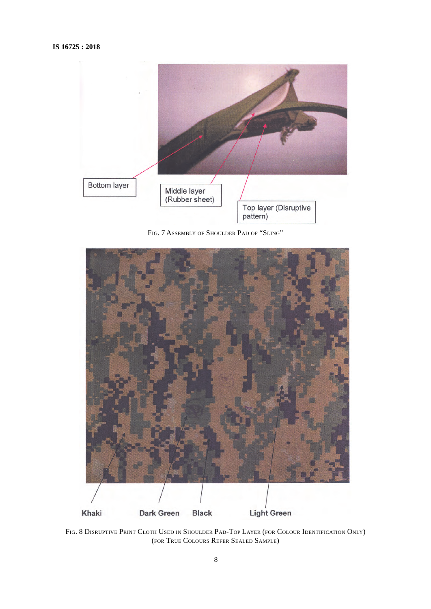

FIG. 7 ASSEMBLY OF SHOULDER PAD OF "SLING"



FIG. 8 DISRUPTIVE PRINT CLOTH USED IN SHOULDER PAD-TOP LAYER (FOR COLOUR IDENTIFICATION ONLY) (FOR TRUE COLOURS REFER SEALED SAMPLE)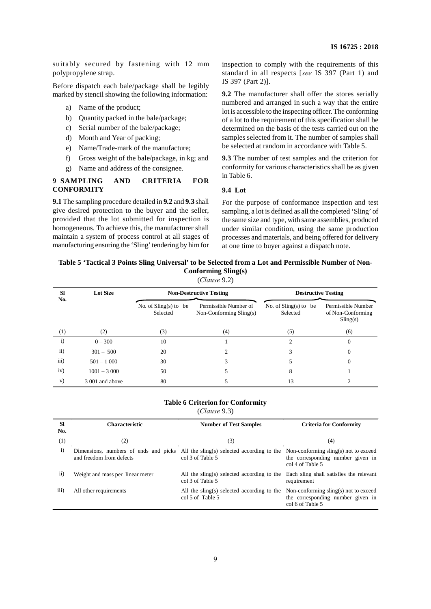suitably secured by fastening with 12 mm polypropylene strap.

Before dispatch each bale/package shall be legibly marked by stencil showing the following information:

- a) Name of the product;
- b) Quantity packed in the bale/package;
- c) Serial number of the bale/package;
- d) Month and Year of packing;
- e) Name/Trade-mark of the manufacture;
- f) Gross weight of the bale/package, in kg; and
- g) Name and address of the consignee.

#### **9 SAMPLING AND CRITERIA FOR CONFORMITY**

**9.1** The sampling procedure detailed in **9.2** and **9.3** shall give desired protection to the buyer and the seller, provided that the lot submitted for inspection is homogeneous. To achieve this, the manufacturer shall maintain a system of process control at all stages of manufacturing ensuring the 'Sling' tendering by him for inspection to comply with the requirements of this standard in all respects [*see* IS 397 (Part 1) and IS 397 (Part 2)].

**9.2** The manufacturer shall offer the stores serially numbered and arranged in such a way that the entire lot is accessible to the inspecting officer. The conforming of a lot to the requirement of this specification shall be determined on the basis of the tests carried out on the samples selected from it. The number of samples shall be selected at random in accordance with Table 5.

**9.3** The number of test samples and the criterion for conformity for various characteristics shall be as given in Table 6.

#### **9.4 Lot**

For the purpose of conformance inspection and test sampling, a lot is defined as all the completed 'Sling' of the same size and type, with same assemblies, produced under similar condition, using the same production processes and materials, and being offered for delivery at one time to buyer against a dispatch note.

# **Table 5 'Tactical 3 Points Sling Universal' to be Selected from a Lot and Permissible Number of Non-Conforming Sling(s)**

| (Clause 9.2) |  |
|--------------|--|
|--------------|--|

| <b>SI</b><br>No. | <b>Lot Size</b> |                                     | <b>Non-Destructive Testing</b>                     | <b>Destructive Testing</b>          |                                                     |  |
|------------------|-----------------|-------------------------------------|----------------------------------------------------|-------------------------------------|-----------------------------------------------------|--|
|                  |                 | No. of $Sling(s)$ to be<br>Selected | Permissible Number of<br>Non-Conforming $Sling(s)$ | No. of $Sling(s)$ to be<br>Selected | Permissible Number<br>of Non-Conforming<br>Sling(s) |  |
| (1)              | (2)             | (3)                                 | (4)                                                | (5)                                 | (6)                                                 |  |
| $\mathbf{i}$     | $0 - 300$       | 10                                  |                                                    |                                     | 0                                                   |  |
| $\mathbf{ii}$    | $301 - 500$     | 20                                  | 2                                                  | 3                                   | 0                                                   |  |
| iii)             | $501 - 1000$    | 30                                  | 3                                                  |                                     | $\Omega$                                            |  |
| iv)              | $1001 - 3000$   | 50                                  | 5                                                  | 8                                   |                                                     |  |
| V)               | 3 001 and above | 80                                  |                                                    | 13                                  |                                                     |  |

## **Table 6 Criterion for Conformity**

(*Clause* 9.3)

| <b>SI</b><br>No. | <b>Characteristic</b>                                                                                        | <b>Number of Test Samples</b>                                  | <b>Criteria for Conformity</b>                                                                 |  |
|------------------|--------------------------------------------------------------------------------------------------------------|----------------------------------------------------------------|------------------------------------------------------------------------------------------------|--|
| (1)              | (2)                                                                                                          | (3)                                                            | (4)                                                                                            |  |
| $\mathbf{i}$     | Dimensions, numbers of ends and picks All the sling(s) selected according to the<br>and freedom from defects | col 3 of Table 5                                               | Non-conforming sling(s) not to exceed<br>the corresponding number given in<br>col 4 of Table 5 |  |
| $\rm ii)$        | Weight and mass per linear meter                                                                             | All the sling(s) selected according to the<br>col 3 of Table 5 | Each sling shall satisfies the relevant<br>requirement                                         |  |
| $\overline{iii}$ | All other requirements                                                                                       | All the sling(s) selected according to the<br>col 5 of Table 5 | Non-conforming sling(s) not to exceed<br>the corresponding number given in<br>col 6 of Table 5 |  |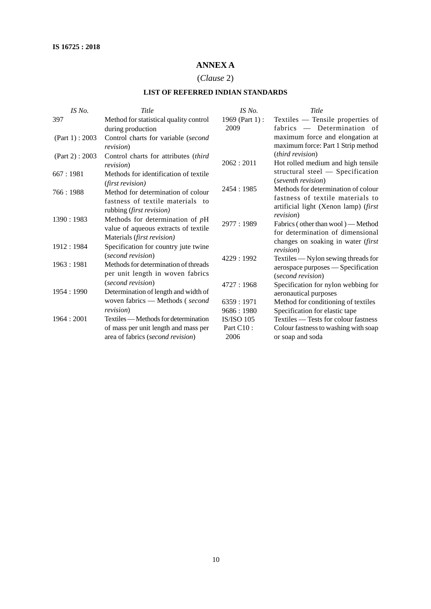# **ANNEX A**

# (*Clause* 2)

# **LIST OF REFERRED INDIAN STANDARDS**

| IS No.           | Title                                  | $IS$ No.          | Title                                                   |
|------------------|----------------------------------------|-------------------|---------------------------------------------------------|
| 397              | Method for statistical quality control | 1969 (Part 1):    | Textiles - Tensile properties of                        |
|                  | during production                      | 2009              | fabrics — Determination of                              |
| (Part 1): $2003$ | Control charts for variable (second    |                   | maximum force and elongation at                         |
|                  | <i>revision</i> )                      |                   | maximum force: Part 1 Strip method                      |
| (Part 2): $2003$ | Control charts for attributes (third   |                   | <i>(third revision)</i>                                 |
|                  | revision)                              | 2062: 2011        | Hot rolled medium and high tensile                      |
| 667:1981         | Methods for identification of textile  |                   | structural steel — Specification                        |
|                  | <i>(first revision)</i>                |                   | (seventh revision)                                      |
| 766:1988         | Method for determination of colour     | 2454:1985         | Methods for determination of colour                     |
|                  | fastness of textile materials to       |                   | fastness of textile materials to                        |
|                  | rubbing (first revision)               |                   | artificial light (Xenon lamp) (first                    |
| 1390: 1983       | Methods for determination of $pH$      |                   | <i>revision</i> )                                       |
|                  | value of aqueous extracts of textile   | 2977:1989         | Fabrics (other than wool) — Method                      |
|                  | Materials (first revision)             |                   | for determination of dimensional                        |
| 1912: 1984       | Specification for country jute twine   |                   | changes on soaking in water (first                      |
|                  | (second revision)                      | 4229:1992         | <i>revision</i> )                                       |
| 1963: 1981       | Methods for determination of threads   |                   | Textiles — Nylon sewing threads for                     |
|                  | per unit length in woven fabrics       |                   | aerospace purposes — Specification<br>(second revision) |
|                  | (second revision)                      | 4727:1968         | Specification for nylon webbing for                     |
| 1954: 1990       | Determination of length and width of   |                   | aeronautical purposes                                   |
|                  | woven fabrics - Methods (second        | 6359:1971         | Method for conditioning of textiles                     |
|                  | <i>revision</i> )                      | 9686:1980         | Specification for elastic tape                          |
| 1964 : 2001      | Textiles — Methods for determination   | <b>IS/ISO 105</b> | Textiles — Tests for colour fastness                    |
|                  | of mass per unit length and mass per   | Part C10 :        | Colour fastness to washing with soap                    |
|                  | area of fabrics (second revision)      | 2006              | or soap and soda                                        |
|                  |                                        |                   |                                                         |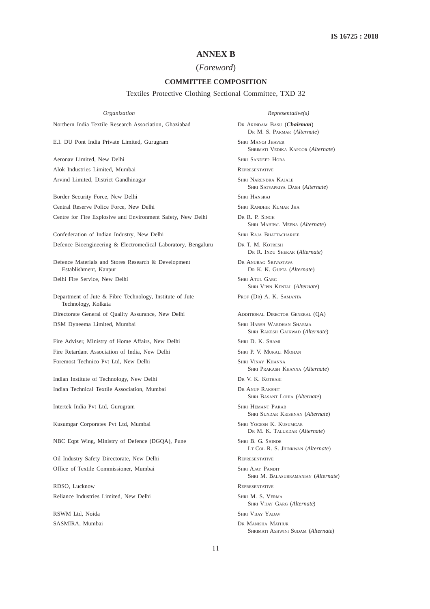# **ANNEX B**

### (*Foreword*)

#### **COMMITTEE COMPOSITION**

Textiles Protective Clothing Sectional Committee, TXD 32

Northern India Textile Research Association, Ghaziabad DR ARINDAM BASU (*Chairman*)

E.I. DU Pont India Private Limited, Gurugram SHRI MANOJ JHAVER

Aeronav Limited, New Delhi SHRI SANDEEP HORA Alok Industries Limited, Mumbai REPRESENTATIVE Arvind Limited, District Gandhinagar SHRI NARENDRA KAJALE

Border Security Force, New Delhi SHRI HANSRAJ Central Reserve Police Force, New Delhi SHRI RANDHIR KUMAR JHA Centre for Fire Explosive and Environment Safety, New Delhi DR R. P. SINGH

Confederation of Indian Industry, New Delhi SHRI RAJA BHATTACHARJEE Defence Bioengineering & Electromedical Laboratory, Bengaluru DR T. M. KOTRESH

Defence Materials and Stores Research & Development DR ANURAG SRIVASTAVA Establishment, Kanpur DR K. K. GUPTA (*Alternate*)

Delhi Fire Service, New Delhi SHRI ATUL GARG

Department of Jute & Fibre Technology, Institute of Jute PROF (DR) A. K. SAMANTA Technology, Kolkata

DSM Dyneema Limited, Mumbai SHARMA SHARMA SHARMA SHARMA SHARMA SHARMA SHARMA SHARMA SHARMA SHARMA SHARMA SHARMA SHARMA SHARMA SHARMA SHARMA SHARMA SHARMA SHARMA SHARMA SHARMA SHARMA SHARMA SHARMA SHARMA SHARMA SHARMA SHARM

Fire Adviser, Ministry of Home Affairs, New Delhi SHRI D. K. SHAMI Fire Retardant Association of India, New Delhi SHRI P. V. MURALI MOHAN Foremost Technico Pvt Ltd, New Delhi SHRI VINAY KHANNA

Indian Institute of Technology, New Delhi DR V. K. KOTHARI Indian Technical Textile Association, Mumbai DR ANUP RAKSHIT

Intertek India Pvt Ltd, Gurugram SHRI HEMANT PARAB

Kusumgar Corporates Pvt Ltd, Mumbai SHRI YOGESH K. KUSUMGAR

NBC Eqpt Wing, Ministry of Defence (DGQA), Pune SHRI B. G. SHINDE

Oil Industry Safety Directorate, New Delhi REPRESENTATIVE Office of Textile Commissioner, Mumbai SHRI AJAY PANDIT

RDSO, Lucknow REPRESENTATIVE Reliance Industries Limited, New Delhi SHRI M. S. VERMA

SASMIRA, Mumbai DR MANISHA MATHUR

*Organization Representative(s)*

DR M. S. PARMAR (*Alternate*)

SHRIMATI VEDIKA KAPOOR (*Alternate*)

SHRI SATYAPRIYA DASH (*Alternate*)

SHRI MAHIPAL MEENA (*Alternate*)

DR R. INDU SHEKAR (*Alternate*)

SHRI VIPIN KENTAL (*Alternate*)

Directorate General of Quality Assurance, New Delhi ADDITIONAL DIRECTOR GENERAL (QA) SHRI RAKESH GAIKWAD (*Alternate*)

SHRI PRAKASH KHANNA (*Alternate*)

SHRI BASANT LOHIA (*Alternate*)

SHRI SUNDAR KRISHNAN (*Alternate*)

DR M. K. TALUKDAR (*Alternate*)

LT COL R. S. JHINKWAN (*Alternate*)

SHRI M. BALASUBRAMANIAN (*Alternate*)

SHRI VIJAY GARG (*Alternate*)

RSWM Ltd, Noida SHRI VIJAY YADAV

SHRIMATI ASHWINI SUDAM (*Alternate*)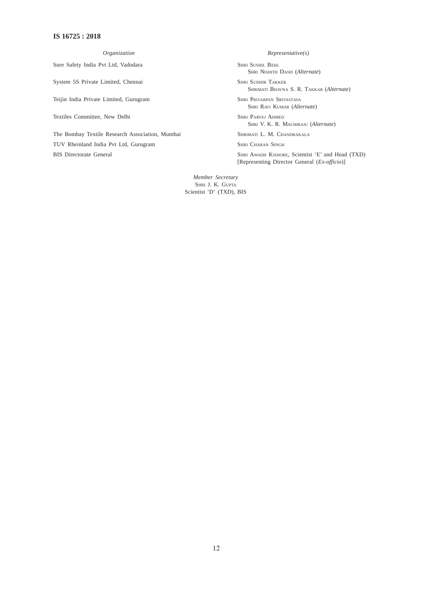## **IS 16725 : 2018**

Sure Safety India Pvt Ltd, Vadodara SHRI SUSHIL BEHL

System 5S Private Limited, Chennai SHRI SUDHIR TAKKER

Teijin India Private Limited, Gurugram SHRI PRIYARPAN SRIVASTAVA

Textiles Committee, New Delhi SHRI PARVEJ AHMED

The Bombay Textile Research Association, Mumbai SHRIMATI L. M. CHANDRAKALA TUV Rheinland India Pvt Ltd, Gurugram SHRI CHARAN SINGH BIS Directorate General SHRI AWADH KISHORE, Scientist 'E' and Head (TXD)

*Organization Representative(s)*

SHRI NISHITH DAND (*Alternate*)

SHRIMATI BHAVNA S. R. TAKKAR (*Alternate*)

SHRI RAVI KUMAR (*Alternate*)

SHRI V. K. R. MACHIRAJU (*Alternate*)

[Representing Director General (*Ex-officio*)]

*Member Secretary* SHRI J. K. GUPTA Scientist 'D' (TXD), BIS